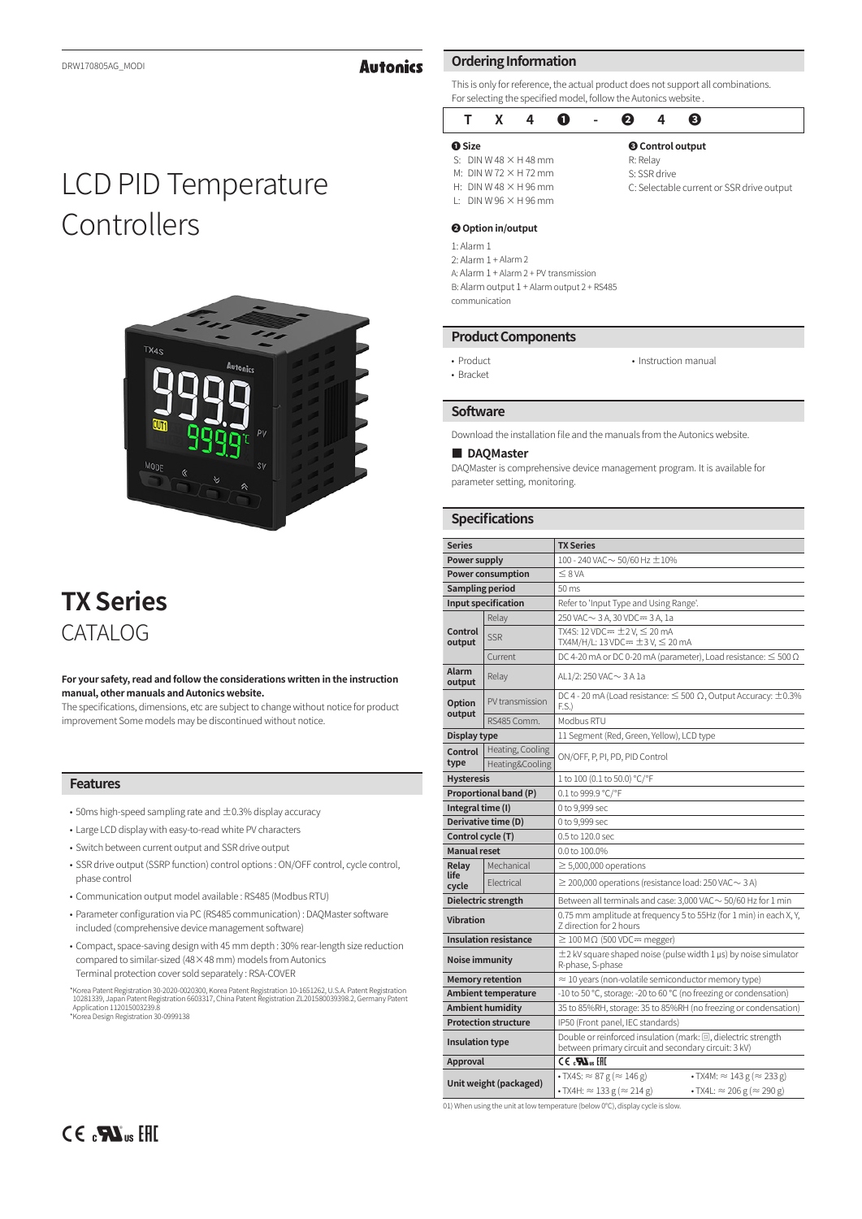# **Autonics**

# LCD PID Temperature Controllers



# **TX Series** CATALOG

#### **For your safety, read and follow the considerations written in the instruction manual, other manuals and Autonics website.**

The specifications, dimensions, etc are subject to change without notice for product improvement Some models may be discontinued without notice.

### **Features**

- $\bullet$  50ms high-speed sampling rate and  $\pm$ 0.3% display accuracy
- Large LCD display with easy-to-read white PV characters
- Switch between current output and SSR drive output
- SSR drive output (SSRP function) control options : ON/OFF control, cycle control, phase control
- Communication output model available : RS485 (Modbus RTU)
- Parameter configuration via PC (RS485 communication) : DAQMaster software included (comprehensive device management software)
- Compact, space-saving design with 45 mm depth : 30% rear-length size reduction compared to similar-sized (48×48 mm) models from Autonics Terminal protection cover sold separately : RSA-COVER
- "Korea Patent Registration 30-2020-0020300, Korea Patent Registration 10-1651262, U.S.A. Patent Registration<br>10281339, Japan Patent Registration 6603317, China Patent Registration ZL201580039398.2, Germany Patent<br>"Applicat

## **Ordering Information**

This is only for reference, the actual product does not support all combinations. For selecting the specified model, follow the Autonics website .

|               | $\mathsf{X}$ | 4                               | O | $\sim$ 10 $\pm$ | ค        |              | ø                                         |
|---------------|--------------|---------------------------------|---|-----------------|----------|--------------|-------------------------------------------|
| <b>O</b> Size |              |                                 |   |                 |          |              | <b>@</b> Control output                   |
|               |              | S: DIN W 48 $\times$ H 48 mm    |   |                 | R: Relay |              |                                           |
|               |              | M: DIN W 72 $\times$ H 72 mm    |   |                 |          | S: SSR drive |                                           |
|               |              | H: DIN W 48 $\times$ H 96 mm    |   |                 |          |              | C: Selectable current or SSR drive output |
|               |              | $\pm$ DIN W 96 $\times$ H 96 mm |   |                 |          |              |                                           |

#### **❷ Option in/output**

1: Alarm 1

2: Alarm 1 + Alarm 2

A: Alarm 1 + Alarm 2 + PV transmission B: Alarm output 1 + Alarm output 2 + RS485

communication

#### **Product Components**

• Product • Bracket

• Instruction manual

#### **Software**

Download the installation file and the manuals from the Autonics website.

#### **■ DAQMaster**

DAQMaster is comprehensive device management program. It is available for parameter setting, monitoring.

#### **Specifications**

| <b>Series</b>           |                                     |                                                                                                                       |  |  |  |  |  |
|-------------------------|-------------------------------------|-----------------------------------------------------------------------------------------------------------------------|--|--|--|--|--|
|                         |                                     | <b>TX Series</b>                                                                                                      |  |  |  |  |  |
| Power supply            |                                     | 100 - 240 VAC $\sim$ 50/60 Hz $\pm$ 10%                                                                               |  |  |  |  |  |
|                         | <b>Power consumption</b>            | $\leq$ 8 VA                                                                                                           |  |  |  |  |  |
| <b>Sampling period</b>  |                                     | 50 ms                                                                                                                 |  |  |  |  |  |
|                         | <b>Input specification</b>          | Refer to 'Input Type and Using Range'.                                                                                |  |  |  |  |  |
| Relay                   |                                     | 250 VAC ~ 3 A, 30 VDC = 3 A, 1a                                                                                       |  |  |  |  |  |
| Control<br>output       | <b>SSR</b>                          | TX4S: 12 VDC= $\pm$ 2 V, $\leq$ 20 mA<br>TX4M/H/L: 13 VDC= $\pm$ 3 V, $\leq$ 20 mA                                    |  |  |  |  |  |
|                         | Current                             | DC 4-20 mA or DC 0-20 mA (parameter), Load resistance: $\leq 500 \Omega$                                              |  |  |  |  |  |
| Alarm<br>output         | Relay                               | AL1/2: 250 VAC ~ 3 A 1a                                                                                               |  |  |  |  |  |
| <b>Option</b><br>output | PV transmission                     | DC 4 - 20 mA (Load resistance: $\leq$ 500 $\Omega$ , Output Accuracy: $\pm$ 0.3%<br>F.S.                              |  |  |  |  |  |
|                         | RS485 Comm.                         | Modbus RTU                                                                                                            |  |  |  |  |  |
| Display type            |                                     | 11 Segment (Red, Green, Yellow), LCD type                                                                             |  |  |  |  |  |
| Control<br>type         | Heating, Cooling<br>Heating&Cooling | ON/OFF, P, PI, PD, PID Control                                                                                        |  |  |  |  |  |
| <b>Hysteresis</b>       |                                     | 1 to 100 (0.1 to 50.0) °C/°F                                                                                          |  |  |  |  |  |
|                         | Proportional band (P)               | 0.1 to 999.9 °C/°F                                                                                                    |  |  |  |  |  |
| Integral time (I)       |                                     | 0 to 9,999 sec                                                                                                        |  |  |  |  |  |
|                         | Derivative time (D)                 | 0 to 9,999 sec                                                                                                        |  |  |  |  |  |
| Control cycle (T)       |                                     | 0.5 to 120.0 sec                                                                                                      |  |  |  |  |  |
| <b>Manual reset</b>     |                                     | 0.0 to 100.0%                                                                                                         |  |  |  |  |  |
| Relay                   | Mechanical                          | $\geq$ 5,000,000 operations                                                                                           |  |  |  |  |  |
| life<br>cycle           | Flectrical                          | $\geq$ 200,000 operations (resistance load: 250 VAC $\sim$ 3 A)                                                       |  |  |  |  |  |
|                         | Dielectric strength                 | Between all terminals and case: 3,000 VAC ~ 50/60 Hz for 1 min                                                        |  |  |  |  |  |
| <b>Vibration</b>        |                                     | 0.75 mm amplitude at frequency 5 to 55Hz (for 1 min) in each X, Y,<br>7 direction for 2 hours                         |  |  |  |  |  |
|                         | <b>Insulation resistance</b>        | $\geq$ 100 M $\Omega$ (500 VDC= megger)                                                                               |  |  |  |  |  |
| Noise immunity          |                                     | $\pm$ 2 kV square shaped noise (pulse width 1 $\mu$ s) by noise simulator<br>R-phase, S-phase                         |  |  |  |  |  |
|                         | <b>Memory retention</b>             | $\approx$ 10 years (non-volatile semiconductor memory type)                                                           |  |  |  |  |  |
|                         | <b>Ambient temperature</b>          | -10 to 50 °C, storage: -20 to 60 °C (no freezing or condensation)                                                     |  |  |  |  |  |
|                         | <b>Ambient humidity</b>             | 35 to 85%RH, storage: 35 to 85%RH (no freezing or condensation)                                                       |  |  |  |  |  |
|                         | <b>Protection structure</b>         | IP50 (Front panel, IEC standards)                                                                                     |  |  |  |  |  |
| <b>Insulation type</b>  |                                     | Double or reinforced insulation (mark: 回, dielectric strength<br>between primary circuit and secondary circuit: 3 kV) |  |  |  |  |  |
| Approval                |                                     | $CE \cdot \mathbf{N}$ us EHI                                                                                          |  |  |  |  |  |
|                         |                                     | $\cdot$ TX4S: $\approx$ 87 g ( $\approx$ 146 g)<br>$\bullet$ TX4M: $\approx$ 143 g ( $\approx$ 233 g)                 |  |  |  |  |  |
|                         | Unit weight (packaged)              | $\cdot$ TX4H: $\approx$ 133 g ( $\approx$ 214 g)<br>• TX4L: $\approx$ 206 g ( $\approx$ 290 g)                        |  |  |  |  |  |

01) When using the unit at low temperature (below 0℃), display cycle is slow.